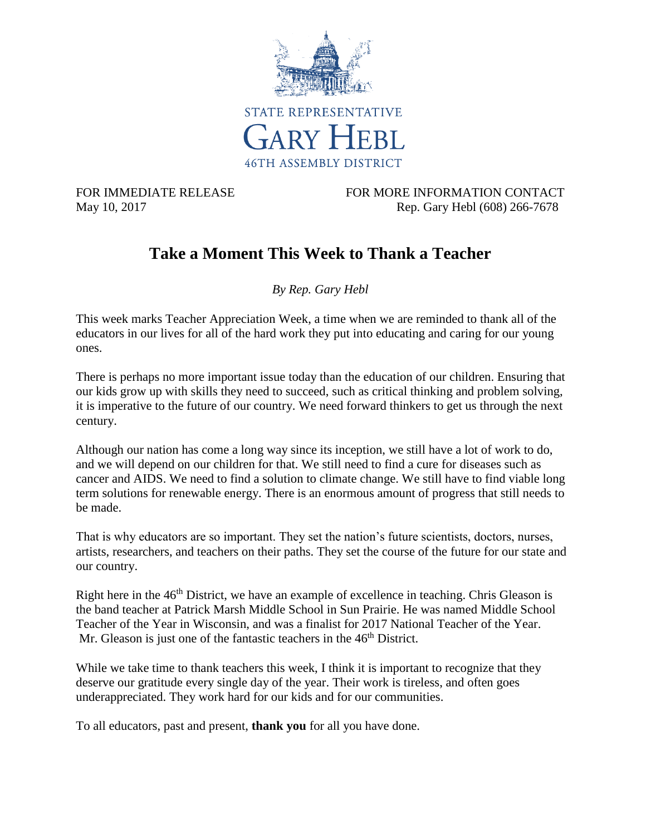

FOR IMMEDIATE RELEASE FOR MORE INFORMATION CONTACT May 10, 2017 Rep. Gary Hebl (608) 266-7678

## **Take a Moment This Week to Thank a Teacher**

*By Rep. Gary Hebl*

This week marks Teacher Appreciation Week, a time when we are reminded to thank all of the educators in our lives for all of the hard work they put into educating and caring for our young ones.

There is perhaps no more important issue today than the education of our children. Ensuring that our kids grow up with skills they need to succeed, such as critical thinking and problem solving, it is imperative to the future of our country. We need forward thinkers to get us through the next century.

Although our nation has come a long way since its inception, we still have a lot of work to do, and we will depend on our children for that. We still need to find a cure for diseases such as cancer and AIDS. We need to find a solution to climate change. We still have to find viable long term solutions for renewable energy. There is an enormous amount of progress that still needs to be made.

That is why educators are so important. They set the nation's future scientists, doctors, nurses, artists, researchers, and teachers on their paths. They set the course of the future for our state and our country.

Right here in the 46<sup>th</sup> District, we have an example of excellence in teaching. Chris Gleason is the band teacher at Patrick Marsh Middle School in Sun Prairie. He was named Middle School Teacher of the Year in Wisconsin, and was a finalist for 2017 National Teacher of the Year. Mr. Gleason is just one of the fantastic teachers in the  $46<sup>th</sup>$  District.

While we take time to thank teachers this week. I think it is important to recognize that they deserve our gratitude every single day of the year. Their work is tireless, and often goes underappreciated. They work hard for our kids and for our communities.

To all educators, past and present, **thank you** for all you have done.